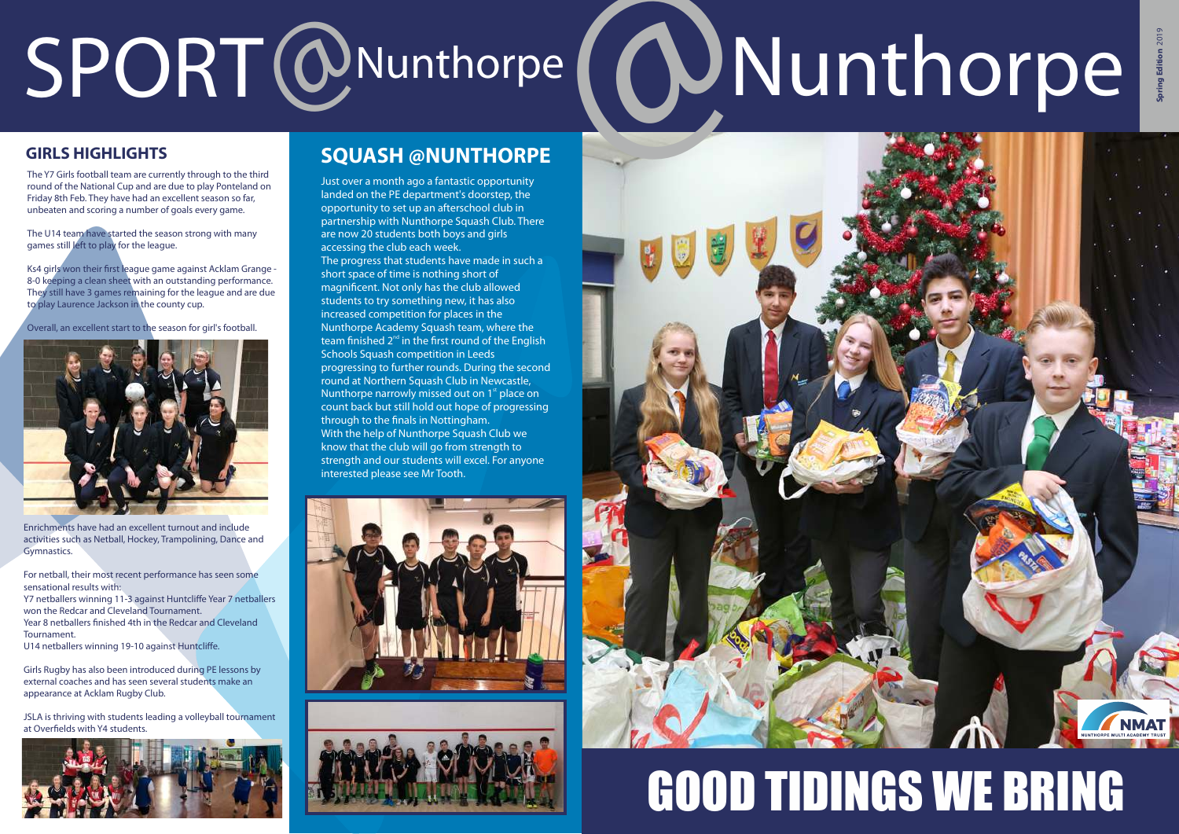# SPORT @Nunthorpe **@Nunthorpe**

The Y7 Girls football team are currently through to the third round of the National Cup and are due to play Ponteland on Friday 8th Feb. They have had an excellent season so far, unbeaten and scoring a number of goals every game.

Ks4 girls won their first league game against Acklam Grange - 8-0 keeping a clean sheet with an outstanding performance. They still have 3 games remaining for the league and are due to play Laurence Jackson in the county cup.

The U14 team have started the season strong with many games still left to play for the league.

Overall, an excellent start to the season for girl's football.



Enrichments have had an excellent turnout and include activities such as Netball, Hockey, Trampolining, Dance and Gymnastics.

For netball, their most recent performance has seen some sensational results with:

Y7 netballers winning 11-3 against Huntcliffe Year 7 netballers won the Redcar and Cleveland Tournament. Year 8 netballers finished 4th in the Redcar and Cleveland

Tournament.

U14 netballers winning 19-10 against Huntcliffe.

Girls Rugby has also been introduced during PE lessons by external coaches and has seen several students make an appearance at Acklam Rugby Club.

JSLA is thriving with students leading a volleyball tournament at Overfields with Y4 students.



Just over a month ago a fantastic opportunity landed on the PE department's doorstep, the opportunity to set up an afterschool club in partnership with Nunthorpe Squash Club. There are now 20 students both boys and girls accessing the club each week. The progress that students have made in such a short space of time is nothing short of magnificent. Not only has the club allowed students to try something new, it has also increased competition for places in the Nunthorpe Academy Squash team, where the team finished  $2<sup>nd</sup>$  in the first round of the English Schools Squash competition in Leeds progressing to further rounds. During the second round at Northern Squash Club in Newcastle, Nunthorpe narrowly missed out on  $1<sup>st</sup>$  place on count back but still hold out hope of progressing through to the finals in Nottingham. With the help of Nunthorpe Squash Club we know that the club will go from strength to strength and our students will excel. For anyone interested please see Mr Tooth.

#### **GIRLS HIGHLIGHTS SQUASH @NUNTHORPE**







# GOOD TIDINGS WE BRING